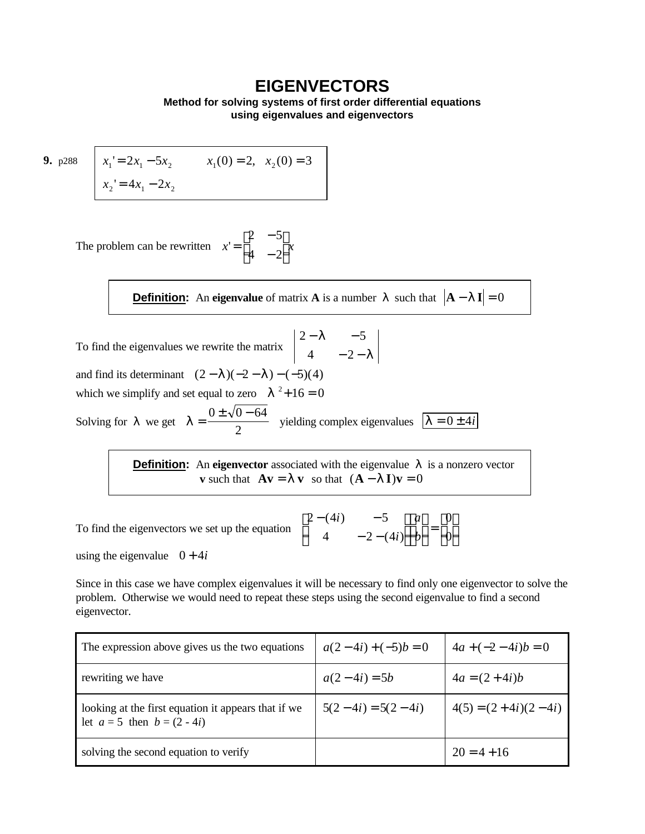## **EIGENVECTORS**

**Method for solving systems of first order differential equations using eigenvalues and eigenvectors**

**9.**  $p288 \quad x_1' = 2x_1 - 5x_2$  $x_2' = 4x_1 - 2x_2$  $x_1(0) = 2, \quad x_2(0) = 3$ 

The problem can be rewritten 
$$
x' = \begin{bmatrix} 2 & -5 \\ 4 & -2 \end{bmatrix} x
$$

**<u>Definition</u>:** An **eigenvalue** of matrix **A** is a number  $|$  such that  $|A - II| = 0$ 

To find the eigenvalues we rewrite the matrix  $2 - 1 - 5$  $4 - 2$ − −  $-2$ *l l* and find its determinant  $(2 - 1)(-2 - 1) - (-5)(4)$ which we simplify and set equal to zero  $l^2 + 16 = 0$ Solving for  $|$  we get  $|$  =  $0 \pm \sqrt{0} - 64$ 2 yielding complex eigenvalues  $\begin{vmatrix} 1 \\ 0 \end{vmatrix} = 0 \pm 4i$ 

> **Definition:** An **eigenvector** associated with the eigenvalue *l* is a nonzero vector **v** such that  $A\mathbf{v} = \mathbf{l} \mathbf{v}$  so that  $(A - \mathbf{l} \mathbf{l})\mathbf{v} = 0$

To find the eigenvectors we set up the equation  $2 - (4i) -5$  $4 -2 - (4)$ 0 0  $-(4i)$  –  $-2 \mathsf{I}$ L  $\mathsf{I}$  $\overline{\phantom{a}}$ J  $\overline{\phantom{a}}$  $\mathsf{I}$ L  $\mathsf{I}$  $\overline{\phantom{a}}$ J  $\vert$  = L L L  $\overline{\phantom{a}}$ J  $\overline{\phantom{a}}$  $(4i)$  $(4i)$ *i i a b*

using the eigenvalue  $0 + 4i$ 

Since in this case we have complex eigenvalues it will be necessary to find only one eigenvector to solve the problem. Otherwise we would need to repeat these steps using the second eigenvalue to find a second eigenvector.

| The expression above gives us the two equations                                        | $a(2-4i)+(-5)b=0$   | $4a + (-2 - 4i)b = 0$ |
|----------------------------------------------------------------------------------------|---------------------|-----------------------|
| rewriting we have                                                                      | $a(2-4i) = 5b$      | $4a = (2 + 4i)b$      |
| looking at the first equation it appears that if we<br>let $a = 5$ then $b = (2 - 4i)$ | $5(2-4i) = 5(2-4i)$ | $4(5) = (2+4i)(2-4i)$ |
| solving the second equation to verify                                                  |                     | $20 = 4 + 16$         |